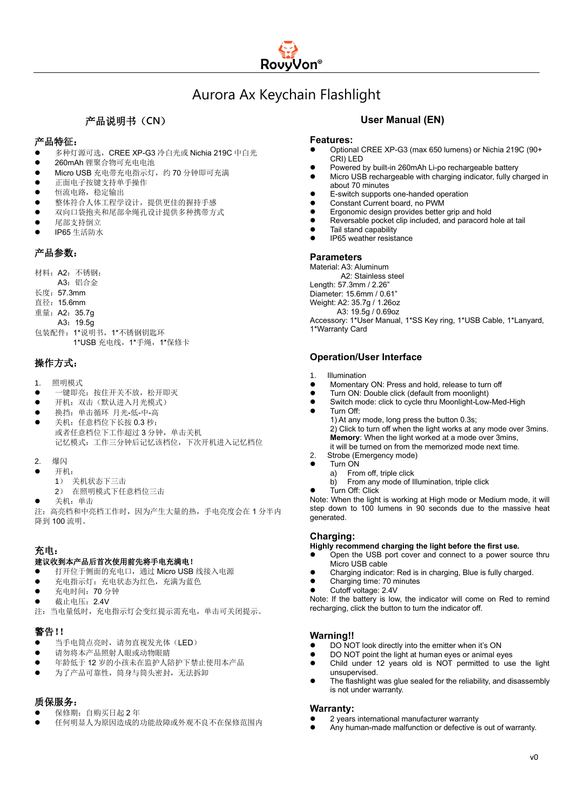

# Aurora Ax Keychain Flashlight

## 产品说明书(**CN**)

### 产品特征:

- 多种灯源可选, CREE XP-G3 冷白光或 Nichia 219C 中白光
- ⚫ 260mAh 锂聚合物可充电电池
- Micro USB 充电带充电指示灯,约 70 分钟即可充满
- ⚫ 正面电子按键支持单手操作
- 恒流电路,稳定输出
- ⚫ 整体符合人体工程学设计,提供更佳的握持手感
- ⚫ 双向口袋抱夹和尾部伞绳孔设计提供多种携带方式
- ⚫ 尾部支持倒立
- ⚫ IP65 生活防水

### 产品参数:

材料:A2:不锈钢; A3:铝合金 长度:57.3mm 直径:15.6mm 重量:A2:35.7g A3:19.5g 包装配件:1\*说明书,1\*不锈钢钥匙环

1\*USB 充电线,1\*手绳,1\*保修卡

## 操作方式:

- 1. 照明模式
- 一键即亮: 按住开关不放, 松开即灭
- 开机: 双击(默认进入月光模式)
- ⚫ 换挡:单击循环 月光-低-中-高
- 关机: 任意档位下长按 0.3 秒; 或者任意档位下工作超过 3 分钟,单击关机 记忆模式:工作三分钟后记忆该档位,下次开机进入记忆档位
- 2. 爆闪
- ⚫ 开机:
- 1) 关机状态下三击
	- 2) 在照明模式下任意档位三击
- 关机: 单击

注:高亮档和中亮档工作时,因为产生大量的热,手电亮度会在 1 分半内 降到 100 流明。

#### 充电:

#### 建议收到本产品后首次使用前先将手电充满电!

- 打开位于侧面的充电口,通过 Micro USB 线接入电源
- 充电指示灯: 充电状态为红色, 充满为蓝色
- 充电时间: 70 分钟
- 截止电压: 2.4V
- 注:当电量低时,充电指示灯会变红提示需充电,单击可关闭提示。

## 警告!!

- 当手电筒点亮时,请勿直视发光体(LED)
- 请勿将本产品照射人眼或动物眼睛
- ⚫ 年龄低于 12 岁的小孩未在监护人陪护下禁止使用本产品
- 为了产品可靠性, 筒身与筒头密封, 无法拆卸

## 质保服务:

- 保修期: 自购买日起 2 年
- ⚫ 任何明显人为原因造成的功能故障或外观不良不在保修范围内

### **User Manual (EN)**

#### **Features:**

- ⚫ Optional CREE XP-G3 (max 650 lumens) or Nichia 219C (90+ CRI) LED
- Powered by built-in 260mAh Li-po rechargeable battery
- ⚫ Micro USB rechargeable with charging indicator, fully charged in about 70 minutes
- ⚫ E-switch supports one-handed operation
- ⚫ Constant Current board, no PWM
- ⚫ Ergonomic design provides better grip and hold
- ⚫ Reversable pocket clip included, and paracord hole at tail
- ⚫ Tail stand capability
- ⚫ IP65 weather resistance

### **Parameters**

Material: A3: Aluminum A2: Stainless steel Length: 57.3mm / 2.26" Diameter: 15.6mm / 0.61" Weight: A2: 35.7g / 1.26oz A3: 19.5g / 0.69oz Accessory: 1\*User Manual, 1\*SS Key ring, 1\*USB Cable, 1\*Lanyard, 1\*Warranty Card

### **Operation/User Interface**

- 1. Illumination
- ⚫ Momentary ON: Press and hold, release to turn off
- Turn ON: Double click (default from moonlight)
- Switch mode: click to cycle thru Moonlight-Low-Med-High
- Turn Off:

1) At any mode, long press the button 0.3s; 2) Click to turn off when the light works at any mode over 3mins. **Memory**: When the light worked at a mode over 3mins, it will be turned on from the memorized mode next time.

- 2. Strobe (Emergency mode)
- ⚫ Turn ON
	- a) From off, triple click
		- b) From any mode of Illumination, triple click
	- ⚫ Turn Off: Click

Note: When the light is working at High mode or Medium mode, it will step down to 100 lumens in 90 seconds due to the massive heat generated.

#### **Charging:**

**Highly recommend charging the light before the first use.** 

- ⚫ Open the USB port cover and connect to a power source thru Micro USB cable
- ⚫ Charging indicator: Red is in charging, Blue is fully charged.
- ⚫ Charging time: 70 minutes
- ⚫ Cutoff voltage: 2.4V

Note: If the battery is low, the indicator will come on Red to remind recharging, click the button to turn the indicator off.

## **Warning!!**

- ⚫ DO NOT look directly into the emitter when it's ON
- ⚫ DO NOT point the light at human eyes or animal eyes
- ⚫ Child under 12 years old is NOT permitted to use the light unsupervised.
- The flashlight was glue sealed for the reliability, and disassembly is not under warranty.

#### **Warranty:**

- ⚫ 2 years international manufacturer warranty
- ⚫ Any human-made malfunction or defective is out of warranty.